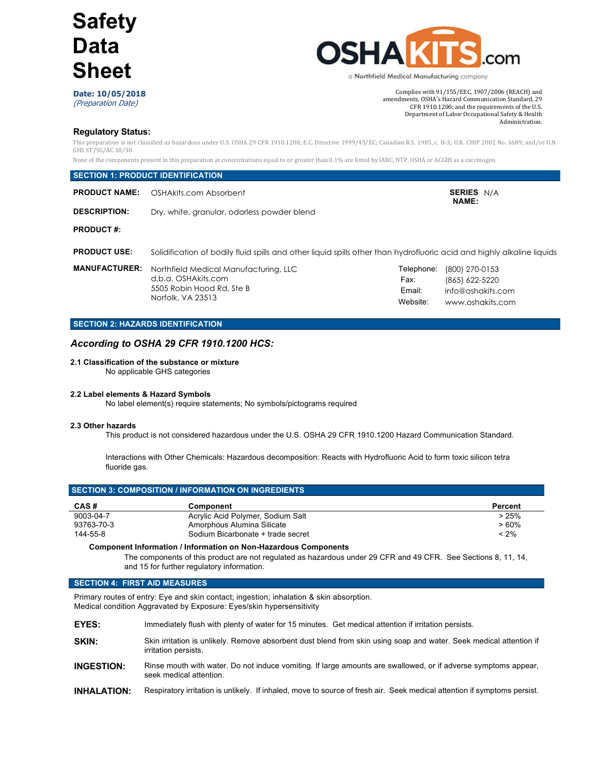

**Date: 10/05/2018** (Preparation Date)

Complies with  $91/155/EEC$ , 1907/2006 (REACH) and amendments, OSHA's Hazard Communication Standard, 29 CFR 1910.1200; and the requirements of the U.S. Department of Labor Occupational Safety & Health Administration.

## **Regulatory Status:**

This preparation is not classified as hazardous under U.S. OSHA 29 CFR 1910.1200; E.C. Directive 1999/45/EC; Canadian R.S. 1985, c. H-3; U.K. CHIP 2002 No. 1689; and/or U.N. GHS ST/SG/AC 10/30.

None of the components present in this preparation at concentrations equal to or greater than 0.1% are listed by IARC, NTP, OSHA or ACGIH as a carcinogen.

|                      | <b>SECTION 1: PRODUCT IDENTIFICATION</b>                                                                               |                                          |                                                                           |
|----------------------|------------------------------------------------------------------------------------------------------------------------|------------------------------------------|---------------------------------------------------------------------------|
| <b>PRODUCT NAME:</b> | OSHAkits.com Absorbent                                                                                                 |                                          | <b>SERIES N/A</b><br><b>NAME:</b>                                         |
| <b>DESCRIPTION:</b>  | Dry, white, granular, odorless powder blend                                                                            |                                          |                                                                           |
| <b>PRODUCT#:</b>     |                                                                                                                        |                                          |                                                                           |
| <b>PRODUCT USE:</b>  | Solidification of bodily fluid spills and other liquid spills other than hydrofluoric acid and highly alkaline liquids |                                          |                                                                           |
| <b>MANUFACTURER:</b> | Northfield Medical Manufacturing, LLC<br>d.b.a. OSHAkits.com<br>5505 Robin Hood Rd, Ste B<br>Norfolk, VA 23513         | Telephone:<br>Fax:<br>Email:<br>Website: | (800) 270-0153<br>(865) 622-5220<br>info@oshakits.com<br>www.oshakits.com |

## **SECTION 2: HAZARDS IDENTIFICATION**

## *According to OSHA 29 CFR 1910.1200 HCS:*

## **2.1 Classification of the substance or mixture**

No applicable GHS categories

## **2.2 Label elements & Hazard Symbols**

No label element(s) require statements; No symbols/pictograms required

## **2.3 Other hazards**

This product is not considered hazardous under the U.S. OSHA 29 CFR 1910.1200 Hazard Communication Standard.

Interactions with Other Chemicals: Hazardous decomposition: Reacts with Hydrofluoric Acid to form toxic silicon tetra fluoride gas.

|            | <b>SECTION 3: COMPOSITION / INFORMATION ON INGREDIENTS</b> |         |
|------------|------------------------------------------------------------|---------|
| CAS#       | Component                                                  | Percent |
| 9003-04-7  | Acrylic Acid Polymer, Sodium Salt                          | >25%    |
| 93763-70-3 | Amorphous Alumina Silicate                                 | $>60\%$ |
| 144-55-8   | Sodium Bicarbonate + trade secret                          | $< 2\%$ |

## **Component Information / Information on Non-Hazardous Components**

The components of this product are not regulated as hazardous under 29 CFR and 49 CFR. See Sections 8, 11, 14, and 15 for further regulatory information.

## **SECTION 4: FIRST AID MEASURES**

Primary routes of entry: Eye and skin contact; ingestion; inhalation & skin absorption. Medical condition Aggravated by Exposure: Eyes/skin hypersensitivity

- **EYES:** Immediately flush with plenty of water for 15 minutes. Get medical attention if irritation persists.
- **SKIN:** Skin irritation is unlikely. Remove absorbent dust blend from skin using soap and water. Seek medical attention if irritation persists.
- **INGESTION:** Rinse mouth with water. Do not induce vomiting. If large amounts are swallowed, or if adverse symptoms appear, seek medical attention.
- **INHALATION:** Respiratory irritation is unlikely. If inhaled, move to source of fresh air. Seek medical attention if symptoms persist.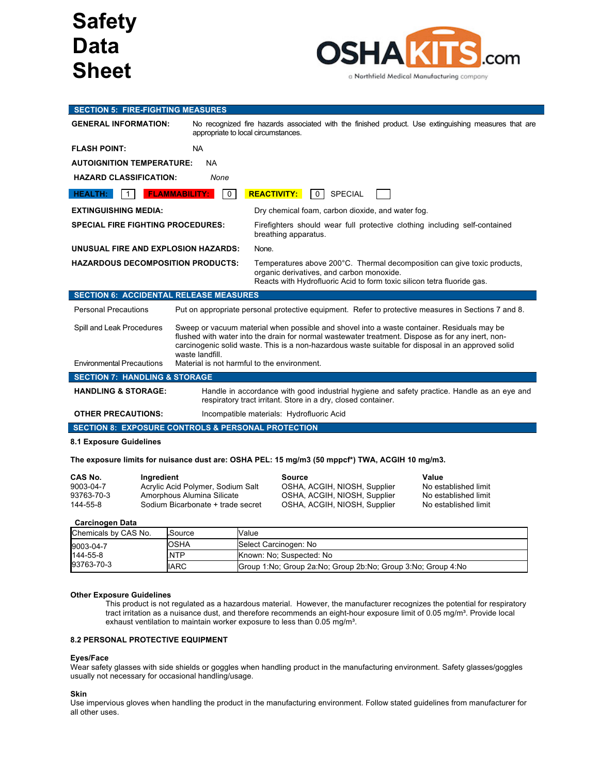

## **SECTION 5: FIRE-FIGHTING MEASURES** GENERAL INFORMATION: No recognized fire hazards associated with the finished product. Use extinguishing measures that are appropriate to local circumstances. **FLASH POINT:** NA **AUTOIGNITION TEMPERATURE:** NA **HAZARD CLASSIFICATION:** *None* **HEALTH:** 1 **FLAMMABILITY:** 0 **REACTIVITY:** 0 SPECIAL **EXTINGUISHING MEDIA:** Dry chemical foam, carbon dioxide, and water fog. **SPECIAL FIRE FIGHTING PROCEDURES:** Firefighters should wear full protective clothing including self-contained breathing apparatus. **UNUSUAL FIRE AND EXPLOSION HAZARDS:** None. **HAZARDOUS DECOMPOSITION PRODUCTS:** Temperatures above 200°C. Thermal decomposition can give toxic products, organic derivatives, and carbon monoxide. Reacts with Hydrofluoric Acid to form toxic silicon tetra fluoride gas. **SECTION 6: ACCIDENTAL RELEASE MEASURES** Personal Precautions Put on appropriate personal protective equipment. Refer to protective measures in Sections 7 and 8. Spill and Leak Procedures Sweep or vacuum material when possible and shovel into a waste container. Residuals may be flushed with water into the drain for normal wastewater treatment. Dispose as for any inert, noncarcinogenic solid waste. This is a non-hazardous waste suitable for disposal in an approved solid waste landfill. Environmental Precautions Material is not harmful to the environment. **SECTION 7: HANDLING & STORAGE HANDLING & STORAGE:** Handle in accordance with good industrial hygiene and safety practice. Handle as an eye and respiratory tract irritant. Store in a dry, closed container. **OTHER PRECAUTIONS:** Incompatible materials: Hydrofluoric Acid **SECTION 8: EXPOSURE CONTROLS & PERSONAL PROTECTION**

## **8.1 Exposure Guidelines**

## **The exposure limits for nuisance dust are: OSHA PEL: 15 mg/m3 (50 mppcf\*) TWA, ACGIH 10 mg/m3.**

| CAS No.    | Inaredient                        | Source                       | Value                |
|------------|-----------------------------------|------------------------------|----------------------|
| 9003-04-7  | Acrylic Acid Polymer, Sodium Salt | OSHA, ACGIH, NIOSH, Supplier | No established limit |
| 93763-70-3 | Amorphous Alumina Silicate        | OSHA, ACGIH, NIOSH, Supplier | No established limit |
| 144-55-8   | Sodium Bicarbonate + trade secret | OSHA, ACGIH, NIOSH, Supplier | No established limit |

## **Carcinogen Data**

| Chemicals by CAS No. | .Source     | Value                                                             |
|----------------------|-------------|-------------------------------------------------------------------|
| 9003-04-7            | IOSHA       | Select Carcinogen: No                                             |
| 144-55-8             | .NTP        | Known: No: Suspected: No                                          |
| 93763-70-3           | <b>IARC</b> | Group 1: No: Group 2a: No: Group 2b: No: Group 3: No: Group 4: No |

## **Other Exposure Guidelines**

This product is not regulated as a hazardous material. However, the manufacturer recognizes the potential for respiratory tract irritation as a nuisance dust, and therefore recommends an eight-hour exposure limit of 0.05 mg/m<sup>3</sup>. Provide local exhaust ventilation to maintain worker exposure to less than 0.05 mg/m<sup>3</sup>.

## **8.2 PERSONAL PROTECTIVE EQUIPMENT**

#### **Eyes/Face**

Wear safety glasses with side shields or goggles when handling product in the manufacturing environment. Safety glasses/goggles usually not necessary for occasional handling/usage.

#### **Skin**

Use impervious gloves when handling the product in the manufacturing environment. Follow stated guidelines from manufacturer for all other uses.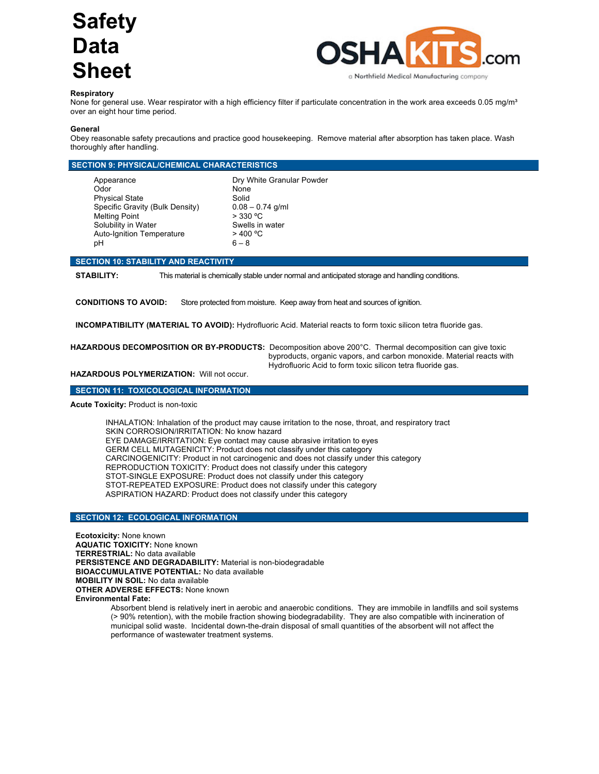

## **Respiratory**

None for general use. Wear respirator with a high efficiency filter if particulate concentration in the work area exceeds 0.05 mg/m<sup>3</sup> over an eight hour time period.

## **General**

Obey reasonable safety precautions and practice good housekeeping. Remove material after absorption has taken place. Wash thoroughly after handling.

| <b>SECTION 9: PHYSICAL/CHEMICAL CHARACTERISTICS</b> |                           |  |
|-----------------------------------------------------|---------------------------|--|
| Appearance                                          | Dry White Granular Powder |  |
| Odor                                                | None                      |  |
| <b>Physical State</b>                               | Solid                     |  |
| Specific Gravity (Bulk Density)                     | $0.08 - 0.74$ g/ml        |  |
| <b>Melting Point</b>                                | $>$ 330 °C                |  |
| Solubility in Water                                 | Swells in water           |  |
| <b>Auto-Ignition Temperature</b>                    | $>$ 400 °C                |  |
| pН                                                  | $6 - 8$                   |  |

## **SECTION 10: STABILITY AND REACTIVITY**

**STABILITY:** This material is chemically stable under normal and anticipated storage and handling conditions.

**CONDITIONS TO AVOID:** Store protected from moisture. Keep away from heat and sources of ignition.

**INCOMPATIBILITY (MATERIAL TO AVOID):** Hydrofluoric Acid. Material reacts to form toxic silicon tetra fluoride gas.

**HAZARDOUS DECOMPOSITION OR BY-PRODUCTS:** Decomposition above 200°C. Thermal decomposition can give toxic byproducts, organic vapors, and carbon monoxide. Material reacts with Hydrofluoric Acid to form toxic silicon tetra fluoride gas.

**HAZARDOUS POLYMERIZATION:** Will not occur.

## **SECTION 11: TOXICOLOGICAL INFORMATION**

**Acute Toxicity:** Product is non-toxic

INHALATION: Inhalation of the product may cause irritation to the nose, throat, and respiratory tract SKIN CORROSION/IRRITATION: No know hazard EYE DAMAGE/IRRITATION: Eye contact may cause abrasive irritation to eyes GERM CELL MUTAGENICITY: Product does not classify under this category CARCINOGENICITY: Product in not carcinogenic and does not classify under this category REPRODUCTION TOXICITY: Product does not classify under this category STOT-SINGLE EXPOSURE: Product does not classify under this category STOT-REPEATED EXPOSURE: Product does not classify under this category ASPIRATION HAZARD: Product does not classify under this category

## **SECTION 12: ECOLOGICAL INFORMATION**

**Ecotoxicity:** None known **AQUATIC TOXICITY:** None known **TERRESTRIAL:** No data available **PERSISTENCE AND DEGRADABILITY:** Material is non-biodegradable **BIOACCUMULATIVE POTENTIAL:** No data available **MOBILITY IN SOIL:** No data available **OTHER ADVERSE EFFECTS:** None known **Environmental Fate:**

Absorbent blend is relatively inert in aerobic and anaerobic conditions. They are immobile in landfills and soil systems (> 90% retention), with the mobile fraction showing biodegradability. They are also compatible with incineration of municipal solid waste. Incidental down-the-drain disposal of small quantities of the absorbent will not affect the performance of wastewater treatment systems.